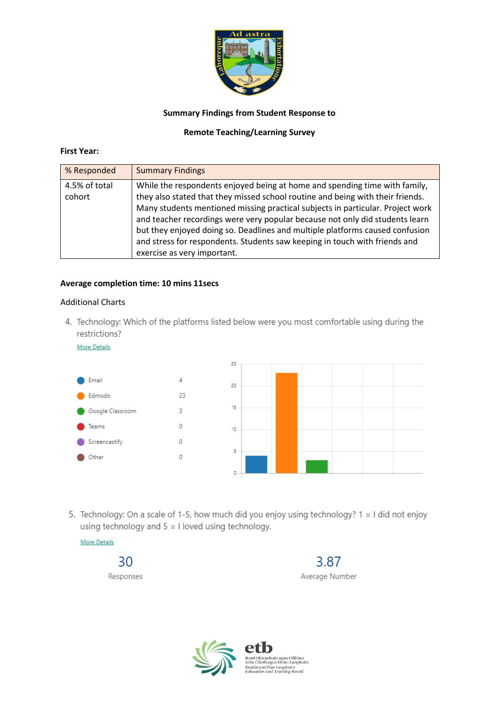

## **Summary Findings from Student Response to**

## **Remote Teaching/Learning Survey**

## **First Year:**

| % Responded             | <b>Summary Findings</b>                                                                                                                                                                                                                                                                                                                                                                                                                                                                                                     |
|-------------------------|-----------------------------------------------------------------------------------------------------------------------------------------------------------------------------------------------------------------------------------------------------------------------------------------------------------------------------------------------------------------------------------------------------------------------------------------------------------------------------------------------------------------------------|
| 4.5% of total<br>cohort | While the respondents enjoyed being at home and spending time with family,<br>they also stated that they missed school routine and being with their friends.<br>Many students mentioned missing practical subjects in particular. Project work<br>and teacher recordings were very popular because not only did students learn<br>but they enjoyed doing so. Deadlines and multiple platforms caused confusion<br>and stress for respondents. Students saw keeping in touch with friends and<br>exercise as very important. |

## **Average completion time: 10 mins 11secs**

## Additional Charts

4. Technology: Which of the platforms listed below were you most comfortable using during the restrictions?

More Details



5. Technology: On a scale of 1-5, how much did you enjoy using technology? 1 = I did not enjoy using technology and  $5 = 1$  loved using technology.



30 Responses

3.87 Average Number



Bord Oideachais agus Oiliúna<br>Átha Cliath agus Dhún Laoghaire<br>*Dublin and Dún Laoghaire<br>Education and Training Board*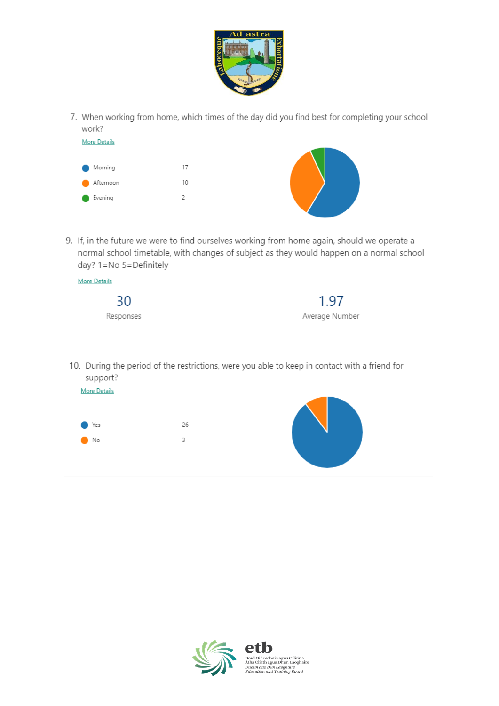

7. When working from home, which times of the day did you find best for completing your school work?

| <b>More Details</b> |    |  |
|---------------------|----|--|
|                     |    |  |
| Morning             | 17 |  |
| Afternoon           | 10 |  |
| Evening             | っ  |  |
|                     |    |  |

9. If, in the future we were to find ourselves working from home again, should we operate a normal school timetable, with changes of subject as they would happen on a normal school day? 1=No 5=Definitely

| More Details |                |
|--------------|----------------|
| 30           | 1.97           |
| Responses    | Average Number |

10. During the period of the restrictions, were you able to keep in contact with a friend for support?



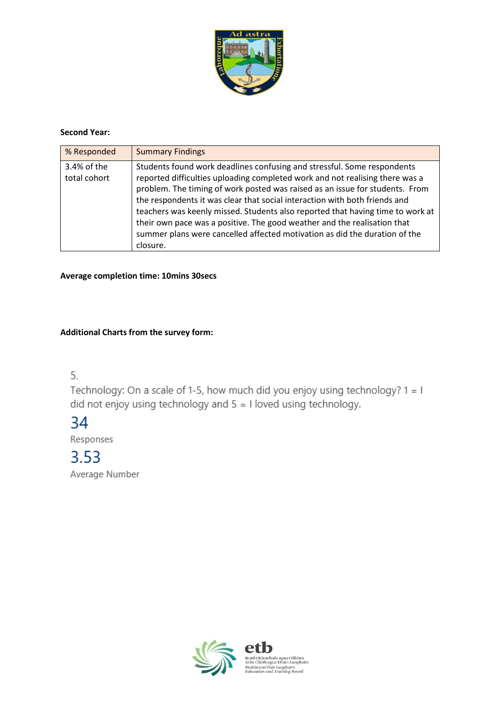

## **Second Year:**

| % Responded                 | <b>Summary Findings</b>                                                                                                                                                                                                                                                                                                                                                                                                                                                                                                                                                       |
|-----------------------------|-------------------------------------------------------------------------------------------------------------------------------------------------------------------------------------------------------------------------------------------------------------------------------------------------------------------------------------------------------------------------------------------------------------------------------------------------------------------------------------------------------------------------------------------------------------------------------|
| 3.4% of the<br>total cohort | Students found work deadlines confusing and stressful. Some respondents<br>reported difficulties uploading completed work and not realising there was a<br>problem. The timing of work posted was raised as an issue for students. From<br>the respondents it was clear that social interaction with both friends and<br>teachers was keenly missed. Students also reported that having time to work at<br>their own pace was a positive. The good weather and the realisation that<br>summer plans were cancelled affected motivation as did the duration of the<br>closure. |

## **Average completion time: 10mins 30secs**

## **Additional Charts from the survey form:**

5.

Technology: On a scale of 1-5, how much did you enjoy using technology? 1 = 1 did not enjoy using technology and  $5 = 1$  loved using technology.

## 34

Responses

# 3.53

Average Number

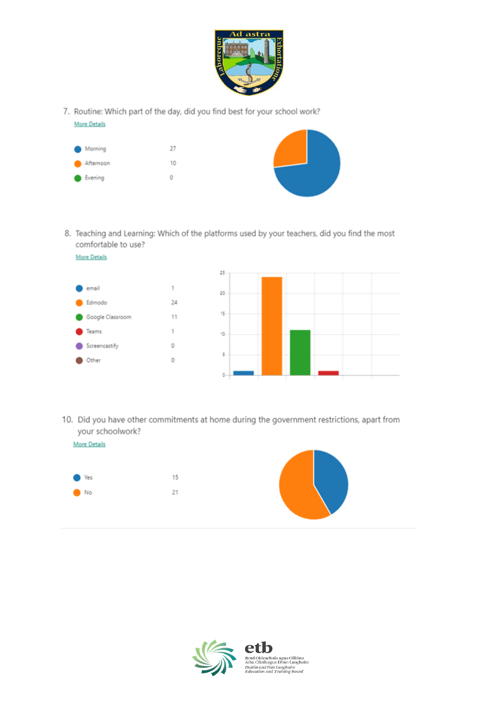

7. Routine: Which part of the day, did you find best for your school work?



8. Teaching and Learning: Which of the platforms used by your teachers, did you find the most comfortable to use?



10. Did you have other commitments at home during the government restrictions, apart from your schoolwork?



**More Details** 



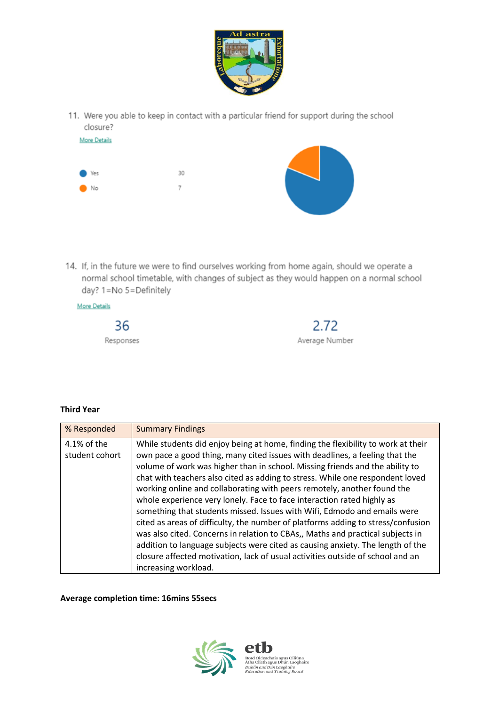

11. Were you able to keep in contact with a particular friend for support during the school closure?



14. If, in the future we were to find ourselves working from home again, should we operate a normal school timetable, with changes of subject as they would happen on a normal school day? 1=No 5=Definitely



## **Third Year**

| % Responded                   | <b>Summary Findings</b>                                                                                                                                                                                                                                                                                                                                                                                                                                                                                                                                                                                                                                                                                                                                                                                                                                                                                                             |
|-------------------------------|-------------------------------------------------------------------------------------------------------------------------------------------------------------------------------------------------------------------------------------------------------------------------------------------------------------------------------------------------------------------------------------------------------------------------------------------------------------------------------------------------------------------------------------------------------------------------------------------------------------------------------------------------------------------------------------------------------------------------------------------------------------------------------------------------------------------------------------------------------------------------------------------------------------------------------------|
| 4.1% of the<br>student cohort | While students did enjoy being at home, finding the flexibility to work at their<br>own pace a good thing, many cited issues with deadlines, a feeling that the<br>volume of work was higher than in school. Missing friends and the ability to<br>chat with teachers also cited as adding to stress. While one respondent loved<br>working online and collaborating with peers remotely, another found the<br>whole experience very lonely. Face to face interaction rated highly as<br>something that students missed. Issues with Wifi, Edmodo and emails were<br>cited as areas of difficulty, the number of platforms adding to stress/confusion<br>was also cited. Concerns in relation to CBAs,, Maths and practical subjects in<br>addition to language subjects were cited as causing anxiety. The length of the<br>closure affected motivation, lack of usual activities outside of school and an<br>increasing workload. |

**Average completion time: 16mins 55secs**

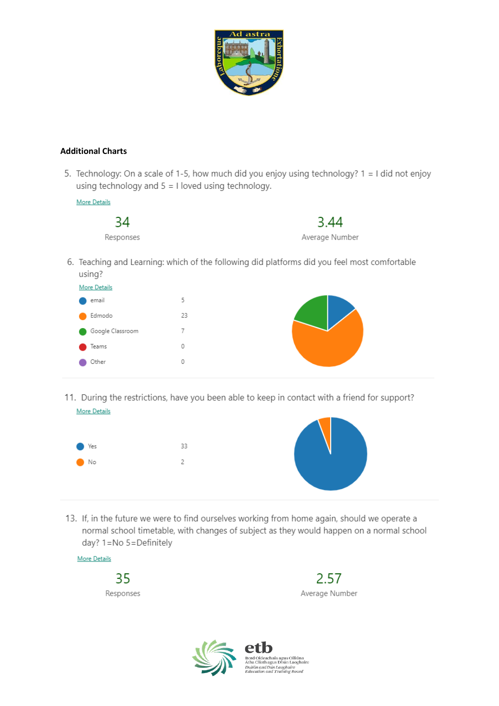

## **Additional Charts**

5. Technology: On a scale of 1-5, how much did you enjoy using technology? 1 = I did not enjoy using technology and  $5 = 1$  loved using technology.



6. Teaching and Learning: which of the following did platforms did you feel most comfortable using?

| <b>More Details</b>                   |    |  |
|---------------------------------------|----|--|
| email                                 | 5  |  |
| Edmodo                                | 23 |  |
| Google Classroom<br><b>CONTRACTOR</b> | 7  |  |
| Teams                                 | 0  |  |
| Other                                 | 0  |  |
|                                       |    |  |

11. During the restrictions, have you been able to keep in contact with a friend for support? More Details



13. If, in the future we were to find ourselves working from home again, should we operate a normal school timetable, with changes of subject as they would happen on a normal school day? 1=No 5=Definitely





icnais agus Oiliuna<br>: agus Dhún Laoghaire .<br>ublin and Dún Laoghaire<br>lucation and Training Board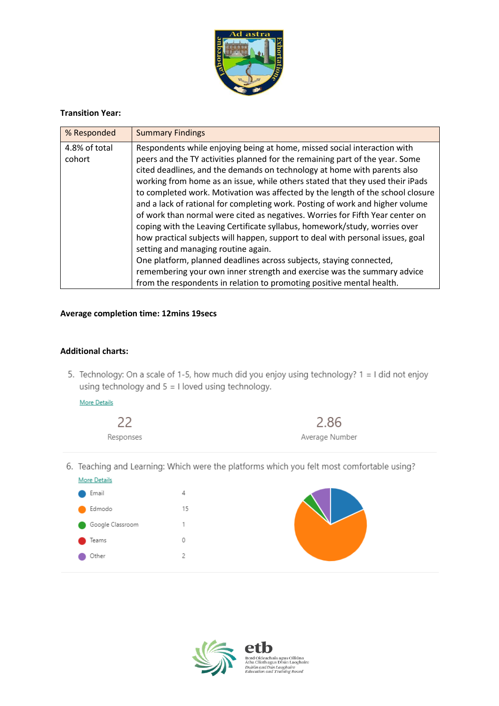

## **Transition Year:**

| % Responded             | <b>Summary Findings</b>                                                                                                                                                                                                                                                                                                                                                                                                                                                                                                                                                                                                                                                                                                                                                                                                                                                                                                                                                                                     |
|-------------------------|-------------------------------------------------------------------------------------------------------------------------------------------------------------------------------------------------------------------------------------------------------------------------------------------------------------------------------------------------------------------------------------------------------------------------------------------------------------------------------------------------------------------------------------------------------------------------------------------------------------------------------------------------------------------------------------------------------------------------------------------------------------------------------------------------------------------------------------------------------------------------------------------------------------------------------------------------------------------------------------------------------------|
| 4.8% of total<br>cohort | Respondents while enjoying being at home, missed social interaction with<br>peers and the TY activities planned for the remaining part of the year. Some<br>cited deadlines, and the demands on technology at home with parents also<br>working from home as an issue, while others stated that they used their iPads<br>to completed work. Motivation was affected by the length of the school closure<br>and a lack of rational for completing work. Posting of work and higher volume<br>of work than normal were cited as negatives. Worries for Fifth Year center on<br>coping with the Leaving Certificate syllabus, homework/study, worries over<br>how practical subjects will happen, support to deal with personal issues, goal<br>setting and managing routine again.<br>One platform, planned deadlines across subjects, staying connected,<br>remembering your own inner strength and exercise was the summary advice<br>from the respondents in relation to promoting positive mental health. |

#### **Average completion time: 12mins 19secs**

#### **Additional charts:**

5. Technology: On a scale of 1-5, how much did you enjoy using technology? 1 = I did not enjoy using technology and  $5 = 1$  loved using technology.

2.86

Average Number

More Details



6. Teaching and Learning: Which were the platforms which you felt most comfortable using?



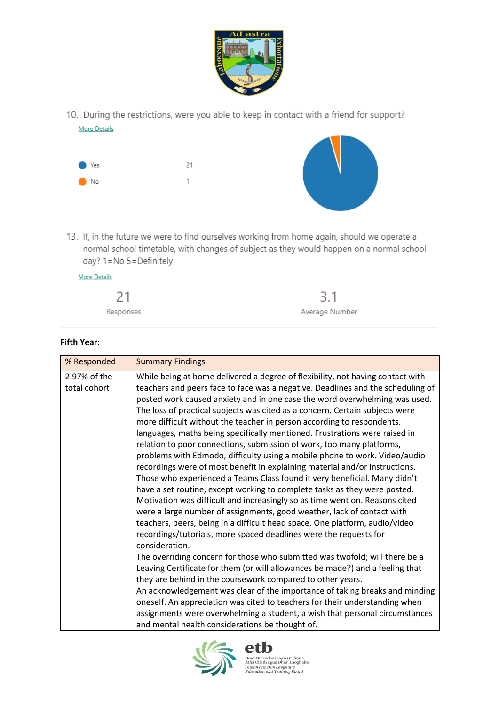

10. During the restrictions, were you able to keep in contact with a friend for support? **More Details** 



13. If, in the future we were to find ourselves working from home again, should we operate a normal school timetable, with changes of subject as they would happen on a normal school day? 1=No 5=Definitely

| More Details |                |
|--------------|----------------|
| 21           | 3.1            |
| Responses    | Average Number |

| <b>Fifth Year:</b> |  |
|--------------------|--|
|                    |  |

| % Responded                  | <b>Summary Findings</b>                                                                                                                                                                                                                                                                                                                                                                                                                                                                                                                                                                                                                                                                                                                                                                                                                                                                                                                                                                                                                                                                                                                                                                                                                                                                                                                                                                                                                                                                                                                                                                                                                                                                                                                              |
|------------------------------|------------------------------------------------------------------------------------------------------------------------------------------------------------------------------------------------------------------------------------------------------------------------------------------------------------------------------------------------------------------------------------------------------------------------------------------------------------------------------------------------------------------------------------------------------------------------------------------------------------------------------------------------------------------------------------------------------------------------------------------------------------------------------------------------------------------------------------------------------------------------------------------------------------------------------------------------------------------------------------------------------------------------------------------------------------------------------------------------------------------------------------------------------------------------------------------------------------------------------------------------------------------------------------------------------------------------------------------------------------------------------------------------------------------------------------------------------------------------------------------------------------------------------------------------------------------------------------------------------------------------------------------------------------------------------------------------------------------------------------------------------|
| 2.97% of the<br>total cohort | While being at home delivered a degree of flexibility, not having contact with<br>teachers and peers face to face was a negative. Deadlines and the scheduling of<br>posted work caused anxiety and in one case the word overwhelming was used.<br>The loss of practical subjects was cited as a concern. Certain subjects were<br>more difficult without the teacher in person according to respondents,<br>languages, maths being specifically mentioned. Frustrations were raised in<br>relation to poor connections, submission of work, too many platforms,<br>problems with Edmodo, difficulty using a mobile phone to work. Video/audio<br>recordings were of most benefit in explaining material and/or instructions.<br>Those who experienced a Teams Class found it very beneficial. Many didn't<br>have a set routine, except working to complete tasks as they were posted.<br>Motivation was difficult and increasingly so as time went on. Reasons cited<br>were a large number of assignments, good weather, lack of contact with<br>teachers, peers, being in a difficult head space. One platform, audio/video<br>recordings/tutorials, more spaced deadlines were the requests for<br>consideration.<br>The overriding concern for those who submitted was twofold; will there be a<br>Leaving Certificate for them (or will allowances be made?) and a feeling that<br>they are behind in the coursework compared to other years.<br>An acknowledgement was clear of the importance of taking breaks and minding<br>oneself. An appreciation was cited to teachers for their understanding when<br>assignments were overwhelming a student, a wish that personal circumstances<br>and mental health considerations be thought of. |



etl Bord Oideachais agus Oiliúna<br>Átha Cliath agus Dhún Laoghaire<br>*Dublin and Dún Laoghaire<br>Education and Training Board*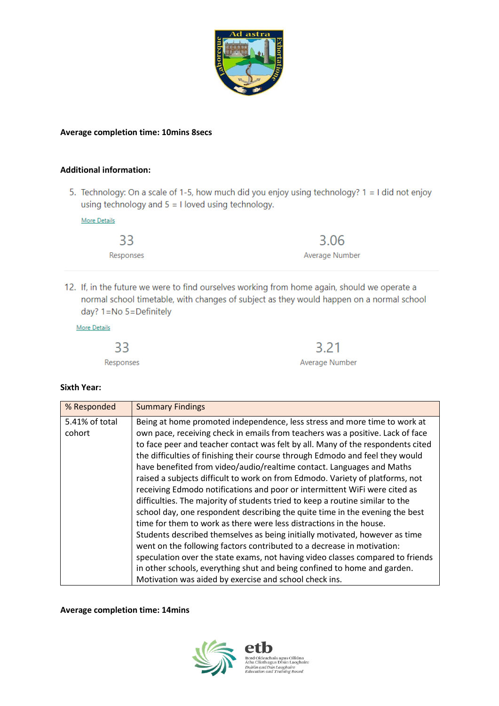

#### **Average completion time: 10mins 8secs**

## **Additional information:**

5. Technology: On a scale of 1-5, how much did you enjoy using technology? 1 = I did not enjoy using technology and  $5 = 1$  loved using technology.

**More Details** 

| 33        | 3.06           |
|-----------|----------------|
| Responses | Average Number |

12. If, in the future we were to find ourselves working from home again, should we operate a normal school timetable, with changes of subject as they would happen on a normal school day? 1=No 5=Definitely

**More Details** 

| 33        | 3.21           |
|-----------|----------------|
| Responses | Average Number |

#### **Sixth Year:**

| % Responded              | <b>Summary Findings</b>                                                                                                                                                                                                                                                                                                                                                                                                                                                                                                                                                                                                                                                                                                                                                                                                                                                                                                                                                                                                                                                                                                                |
|--------------------------|----------------------------------------------------------------------------------------------------------------------------------------------------------------------------------------------------------------------------------------------------------------------------------------------------------------------------------------------------------------------------------------------------------------------------------------------------------------------------------------------------------------------------------------------------------------------------------------------------------------------------------------------------------------------------------------------------------------------------------------------------------------------------------------------------------------------------------------------------------------------------------------------------------------------------------------------------------------------------------------------------------------------------------------------------------------------------------------------------------------------------------------|
| 5.41% of total<br>cohort | Being at home promoted independence, less stress and more time to work at<br>own pace, receiving check in emails from teachers was a positive. Lack of face<br>to face peer and teacher contact was felt by all. Many of the respondents cited<br>the difficulties of finishing their course through Edmodo and feel they would<br>have benefited from video/audio/realtime contact. Languages and Maths<br>raised a subjects difficult to work on from Edmodo. Variety of platforms, not<br>receiving Edmodo notifications and poor or intermittent WiFi were cited as<br>difficulties. The majority of students tried to keep a routine similar to the<br>school day, one respondent describing the quite time in the evening the best<br>time for them to work as there were less distractions in the house.<br>Students described themselves as being initially motivated, however as time<br>went on the following factors contributed to a decrease in motivation:<br>speculation over the state exams, not having video classes compared to friends<br>in other schools, everything shut and being confined to home and garden. |
|                          | Motivation was aided by exercise and school check ins.                                                                                                                                                                                                                                                                                                                                                                                                                                                                                                                                                                                                                                                                                                                                                                                                                                                                                                                                                                                                                                                                                 |

**Average completion time: 14mins**



deachais ideachais agus Oiliúna<br>iath agus Dhún Laoghaire